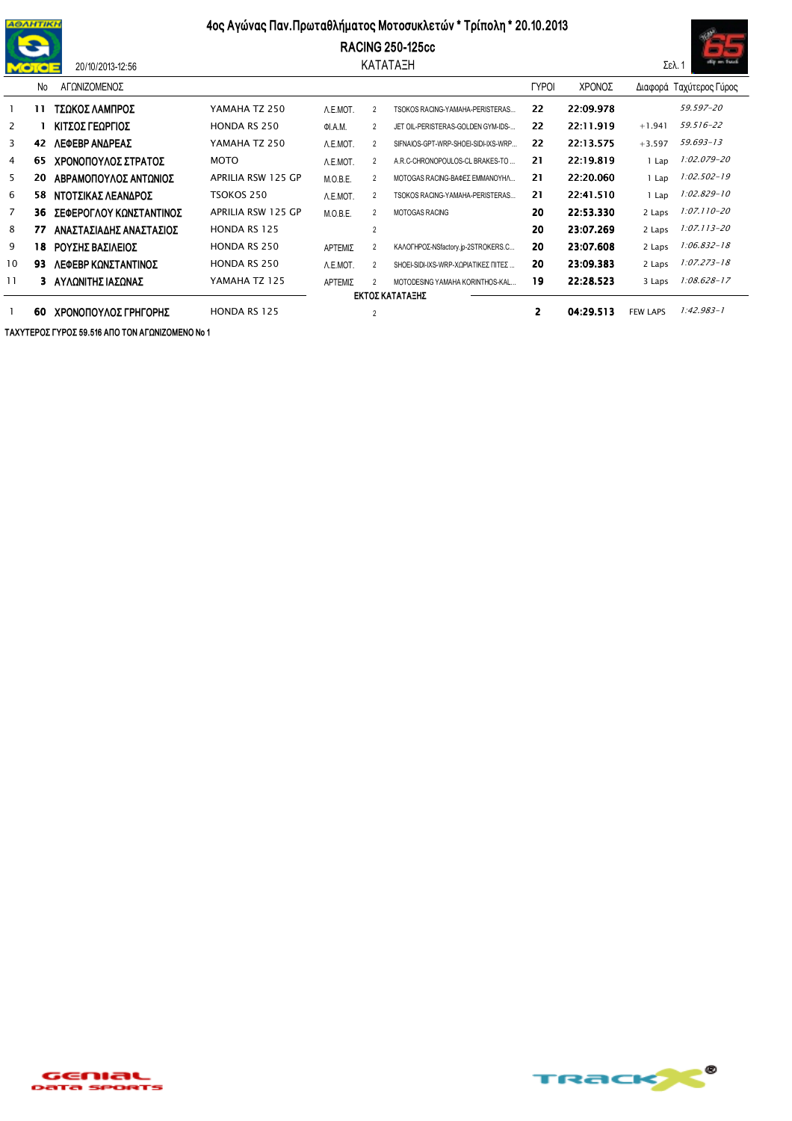

## 4ος Αγώνας Παν. Πρωταθλήματος Μοτοσυκλετών \* Τρίπολη \* 20.10.2013

**RACING 250-125cc** 

ΚΑΤΑΤΑΞΗ



|                | <b>No</b>       | ΑΓΩΝΙΖΟΜΕΝΟΣ            |                     |                |                |                                     | <b>TYPOI</b> | ΧΡΟΝΟΣ    |                 | Διαφορά Ταχύτερος Γύρος |
|----------------|-----------------|-------------------------|---------------------|----------------|----------------|-------------------------------------|--------------|-----------|-----------------|-------------------------|
|                | 11              | ΤΣΩΚΟΣ ΛΑΜΠΡΟΣ          | YAMAHA TZ 250       | A.E.MOT.       | $\overline{2}$ | TSOKOS RACING-YAMAHA-PERISTERAS     | 22           | 22:09.978 |                 | 59.597-20               |
| $\mathbf{2}$   |                 | ΚΙΤΣΟΣ ΓΕΩΡΓΙΟΣ         | <b>HONDA RS 250</b> | <b>OI.A.M.</b> | $\mathcal{P}$  | JET OIL-PERISTERAS-GOLDEN GYM-IDS-  | 22           | 22:11.919 | $+1.941$        | 59.516-22               |
| 3              | 42              | ΛΕΦΕΒΡ ΑΝΔΡΕΑΣ          | YAMAHA TZ 250       | A.E.MOT.       | 2              | SIFNAIOS-GPT-WRP-SHOEI-SIDI-IXS-WRP | 22           | 22:13.575 | $+3.597$        | 59.693-13               |
| 4              | 65              | ΧΡΟΝΟΠΟΥΛΟΣ ΣΤΡΑΤΟΣ     | <b>MOTO</b>         | A.E.MOT.       | 2              | A.R.C-CHRONOPOULOS-CL BRAKES-TO     | 21           | 22:19.819 | Lap             | 1:02.079-20             |
| 5              | 20              | ΑΒΡΑΜΟΠΟΥΛΟΣ ΑΝΤΩΝΙΟΣ   | APRILIA RSW 125 GP  | M.O.B.E.       | $\mathcal{P}$  | ΜΟΤΟGAS RACING-ΒΑΦΕΣ ΕΜΜΑΝΟΥΗΛ      | 21           | 22:20.060 | Lap             | 1:02.502-19             |
| 6              | 58.             | ΝΤΟΤΣΙΚΑΣ ΛΕΑΝΔΡΟΣ      | TSOKOS 250          | A.E.MOT.       | 2              | TSOKOS RACING-YAMAHA-PERISTERAS     | 21           | 22:41.510 | Lap             | 1:02.829-10             |
| $\overline{7}$ | 36              | ΣΕΦΕΡΟΓΛΟΥ ΚΩΝΣΤΑΝΤΙΝΟΣ | APRILIA RSW 125 GP  | M.O.B.E.       | 2              | <b>MOTOGAS RACING</b>               | 20           | 22:53.330 | 2 Laps          | 1:07.110-20             |
| 8              | 77              | ΑΝΑΣΤΑΣΙΑΔΗΣ ΑΝΑΣΤΑΣΙΟΣ | <b>HONDA RS 125</b> |                | $\overline{2}$ |                                     | 20           | 23:07.269 | 2 Laps          | $1:07.113 - 20$         |
| 9              | 18              | ΡΟΥΣΗΣ ΒΑΣΙΛΕΙΟΣ        | <b>HONDA RS 250</b> | ΑΡΤΕΜΙΣ        | 2              | ΚΑΛΟΓΗΡΟΣ-NSfactory.jp-2STROKERS.C  | 20           | 23:07.608 | 2 Laps          | $1:06.832 - 18$         |
| 10             | 93              | ΛΕΦΕΒΡ ΚΩΝΣΤΑΝΤΙΝΟΣ     | <b>HONDA RS 250</b> | A.E.MOT.       | $\mathfrak{p}$ | SHOEI-SIDI-IXS-WRP-ΧΩΡΙΑΤΙΚΕΣ ΠΙΤΕΣ | 20           | 23:09.383 | 2 Laps          | 1:07.273-18             |
| 11             |                 | ΑΥΛΩΝΙΤΗΣ ΙΑΣΩΝΑΣ       | YAMAHA TZ 125       | ΑΡΤΕΜΙΣ        |                | MOTODESING YAMAHA KORINTHOS-KAL     | 19           | 22:28.523 | 3 Laps          | 1:08.628-17             |
|                | ΕΚΤΟΣ ΚΑΤΑΤΑΞΗΣ |                         |                     |                |                |                                     |              |           |                 |                         |
|                | 60              | ΧΡΟΝΟΠΟΥΛΟΣ ΓΡΗΓΟΡΗΣ    | <b>HONDA RS 125</b> |                |                |                                     | 2            | 04:29.513 | <b>FEW LAPS</b> | $1:42.983 - 1$          |

ΤΑΧΥΤΕΡΟΣ ΓΥΡΟΣ 59.516 ΑΠΟ ΤΟΝ ΑΓΩΝΙΖΟΜΕΝΟ Νο 1

20/10/2013-12:56

GENIAL<br><sup>Data Sports</sup>